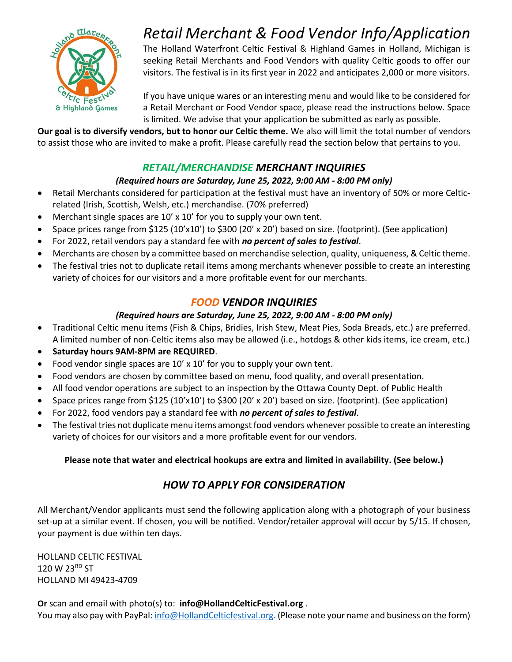

# *Retail Merchant & Food Vendor Info/Application*

The Holland Waterfront Celtic Festival & Highland Games in Holland, Michigan is seeking Retail Merchants and Food Vendors with quality Celtic goods to offer our visitors. The festival is in its first year in 2022 and anticipates 2,000 or more visitors.

If you have unique wares or an interesting menu and would like to be considered for a Retail Merchant or Food Vendor space, please read the instructions below. Space is limited. We advise that your application be submitted as early as possible.

**Our goal is to diversify vendors, but to honor our Celtic theme.** We also will limit the total number of vendors to assist those who are invited to make a profit. Please carefully read the section below that pertains to you.

#### *RETAIL/MERCHANDISE MERCHANT INQUIRIES*

#### *(Required hours are Saturday, June 25, 2022, 9:00 AM - 8:00 PM only)*

- Retail Merchants considered for participation at the festival must have an inventory of 50% or more Celticrelated (Irish, Scottish, Welsh, etc.) merchandise. (70% preferred)
- Merchant single spaces are 10' x 10' for you to supply your own tent.
- Space prices range from \$125 (10'x10') to \$300 (20' x 20') based on size. (footprint). (See application)
- For 2022, retail vendors pay a standard fee with *no percent of sales to festival*.
- Merchants are chosen by a committee based on merchandise selection, quality, uniqueness, & Celtic theme.
- The festival tries not to duplicate retail items among merchants whenever possible to create an interesting variety of choices for our visitors and a more profitable event for our merchants.

### *FOOD VENDOR INQUIRIES*

#### *(Required hours are Saturday, June 25, 2022, 9:00 AM - 8:00 PM only)*

- Traditional Celtic menu items (Fish & Chips, Bridies, Irish Stew, Meat Pies, Soda Breads, etc.) are preferred. A limited number of non-Celtic items also may be allowed (i.e., hotdogs & other kids items, ice cream, etc.)
- **Saturday hours 9AM-8PM are REQUIRED**.
- Food vendor single spaces are 10' x 10' for you to supply your own tent.
- Food vendors are chosen by committee based on menu, food quality, and overall presentation.
- All food vendor operations are subject to an inspection by the Ottawa County Dept. of Public Health
- Space prices range from \$125 (10'x10') to \$300 (20' x 20') based on size. (footprint). (See application)
- For 2022, food vendors pay a standard fee with *no percent of sales to festival*.
- The festival tries not duplicate menu items amongst food vendors whenever possible to create an interesting variety of choices for our visitors and a more profitable event for our vendors.

#### **Please note that water and electrical hookups are extra and limited in availability. (See below.)**

### *HOW TO APPLY FOR CONSIDERATION*

All Merchant/Vendor applicants must send the following application along with a photograph of your business set-up at a similar event. If chosen, you will be notified. Vendor/retailer approval will occur by 5/15. If chosen, your payment is due within ten days.

HOLLAND CELTIC FESTIVAL 120 W 23RD ST HOLLAND MI 49423-4709

**Or** scan and email with photo(s) to: **info@HollandCelticFestival.org** .

You may also pay with PayPal[: info@HollandCelticfestival.org.](mailto:info@HollandCelticfestival.org) (Please note your name and business on the form)